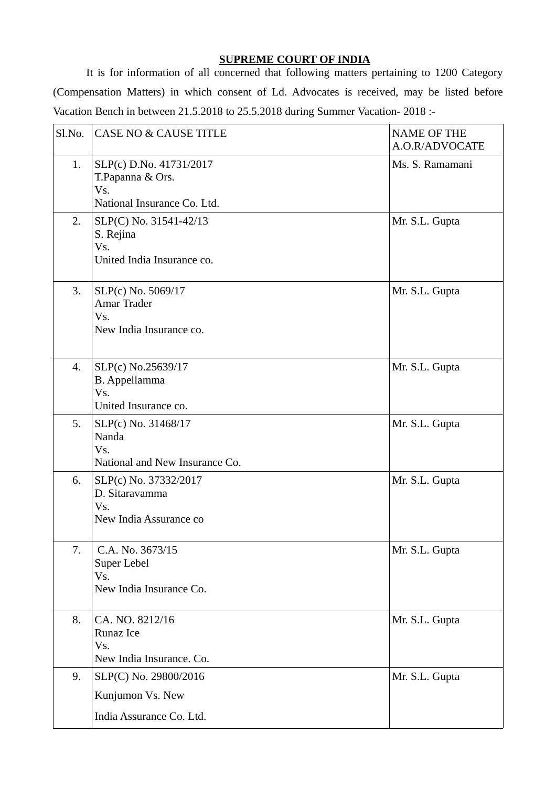## **SUPREME COURT OF INDIA**

It is for information of all concerned that following matters pertaining to 1200 Category (Compensation Matters) in which consent of Ld. Advocates is received, may be listed before Vacation Bench in between 21.5.2018 to 25.5.2018 during Summer Vacation- 2018 :-

| Sl.No. | <b>CASE NO &amp; CAUSE TITLE</b>                                                  | <b>NAME OF THE</b><br>A.O.R/ADVOCATE |
|--------|-----------------------------------------------------------------------------------|--------------------------------------|
| 1.     | SLP(c) D.No. 41731/2017<br>T.Papanna & Ors.<br>Vs.<br>National Insurance Co. Ltd. | Ms. S. Ramamani                      |
| 2.     | SLP(C) No. 31541-42/13<br>S. Rejina<br>Vs.<br>United India Insurance co.          | Mr. S.L. Gupta                       |
| 3.     | SLP(c) No. 5069/17<br><b>Amar Trader</b><br>Vs.<br>New India Insurance co.        | Mr. S.L. Gupta                       |
| 4.     | SLP(c) No.25639/17<br>B. Appellamma<br>Vs.<br>United Insurance co.                | Mr. S.L. Gupta                       |
| 5.     | SLP(c) No. 31468/17<br>Nanda<br>Vs.<br>National and New Insurance Co.             | Mr. S.L. Gupta                       |
| 6.     | SLP(c) No. 37332/2017<br>D. Sitaravamma<br>Vs.<br>New India Assurance co          | Mr. S.L. Gupta                       |
| 7.     | C.A. No. 3673/15<br>Super Lebel<br>Vs.<br>New India Insurance Co.                 | Mr. S.L. Gupta                       |
| 8.     | CA. NO. 8212/16<br>Runaz Ice<br>Vs.<br>New India Insurance. Co.                   | Mr. S.L. Gupta                       |
| 9.     | SLP(C) No. 29800/2016<br>Kunjumon Vs. New                                         | Mr. S.L. Gupta                       |
|        | India Assurance Co. Ltd.                                                          |                                      |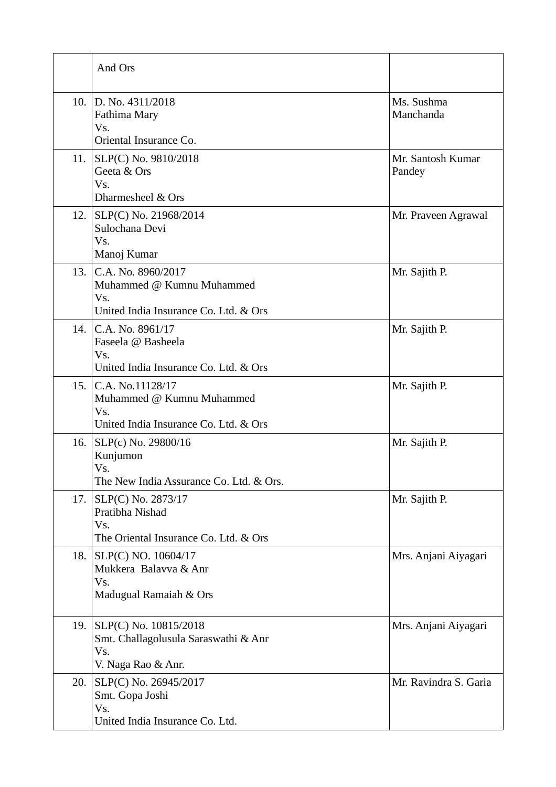|      | And Ors                                                                                              |                             |
|------|------------------------------------------------------------------------------------------------------|-----------------------------|
|      | 10. D. No. 4311/2018<br>Fathima Mary<br>Vs.<br>Oriental Insurance Co.                                | Ms. Sushma<br>Manchanda     |
| 11.  | SLP(C) No. 9810/2018<br>Geeta & Ors<br>Vs.<br>Dharmesheel & Ors                                      | Mr. Santosh Kumar<br>Pandey |
| 12.  | SLP(C) No. 21968/2014<br>Sulochana Devi<br>Vs.<br>Manoj Kumar                                        | Mr. Praveen Agrawal         |
| 13.  | C.A. No. 8960/2017<br>Muhammed @ Kumnu Muhammed<br>Vs.<br>United India Insurance Co. Ltd. & Ors      | Mr. Sajith P.               |
|      | 14. C.A. No. 8961/17<br>Faseela @ Basheela<br>Vs.<br>United India Insurance Co. Ltd. & Ors           | Mr. Sajith P.               |
| 15.1 | C.A. No.11128/17<br>Muhammed $\omega$ Kumnu Muhammed<br>Vs.<br>United India Insurance Co. Ltd. & Ors | Mr. Sajith P.               |
| 16.  | SLP(c) No. 29800/16<br>Kunjumon<br>Vs.<br>The New India Assurance Co. Ltd. & Ors.                    | Mr. Sajith P.               |
| 17.  | SLP(C) No. 2873/17<br>Pratibha Nishad<br>Vs.<br>The Oriental Insurance Co. Ltd. & Ors                | Mr. Sajith P.               |
| 18.  | SLP(C) NO. 10604/17<br>Mukkera Balavva & Anr<br>Vs.<br>Madugual Ramaiah & Ors                        | Mrs. Anjani Aiyagari        |
| 19.  | SLP(C) No. 10815/2018<br>Smt. Challagolusula Saraswathi & Anr<br>Vs.<br>V. Naga Rao & Anr.           | Mrs. Anjani Aiyagari        |
| 20.  | SLP(C) No. 26945/2017<br>Smt. Gopa Joshi<br>Vs.<br>United India Insurance Co. Ltd.                   | Mr. Ravindra S. Garia       |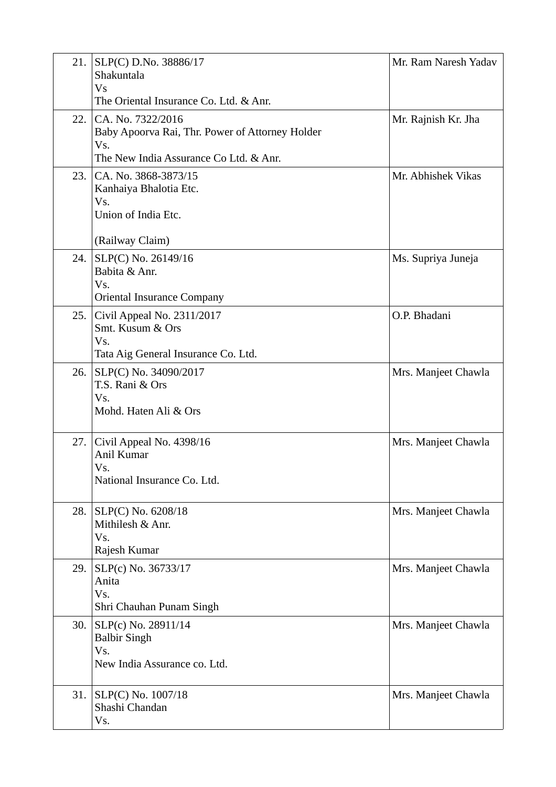| 21.  | SLP(C) D.No. 38886/17<br>Shakuntala<br>Vs                                                                             | Mr. Ram Naresh Yadav |
|------|-----------------------------------------------------------------------------------------------------------------------|----------------------|
|      | The Oriental Insurance Co. Ltd. & Anr.                                                                                |                      |
| 22.  | CA. No. 7322/2016<br>Baby Apoorva Rai, Thr. Power of Attorney Holder<br>Vs.<br>The New India Assurance Co Ltd. & Anr. | Mr. Rajnish Kr. Jha  |
| 23.1 | CA. No. 3868-3873/15<br>Kanhaiya Bhalotia Etc.<br>Vs.<br>Union of India Etc.                                          | Mr. Abhishek Vikas   |
|      | (Railway Claim)                                                                                                       |                      |
| 24.  | SLP(C) No. 26149/16<br>Babita & Anr.<br>Vs.<br><b>Oriental Insurance Company</b>                                      | Ms. Supriya Juneja   |
| 25.  | Civil Appeal No. 2311/2017<br>Smt. Kusum & Ors<br>Vs.<br>Tata Aig General Insurance Co. Ltd.                          | O.P. Bhadani         |
| 26.  | SLP(C) No. 34090/2017<br>T.S. Rani & Ors<br>Vs.<br>Mohd. Haten Ali & Ors                                              | Mrs. Manjeet Chawla  |
| 27.  | Civil Appeal No. 4398/16<br>Anil Kumar<br>Vs.<br>National Insurance Co. Ltd.                                          | Mrs. Manjeet Chawla  |
| 28.  | SLP(C) No. 6208/18<br>Mithilesh & Anr.<br>Vs.<br>Rajesh Kumar                                                         | Mrs. Manjeet Chawla  |
| 29.  | SLP(c) No. 36733/17<br>Anita<br>Vs.<br>Shri Chauhan Punam Singh                                                       | Mrs. Manjeet Chawla  |
| 30.  | SLP(c) No. 28911/14<br><b>Balbir Singh</b><br>Vs.<br>New India Assurance co. Ltd.                                     | Mrs. Manjeet Chawla  |
| 31.  | SLP(C) No. 1007/18<br>Shashi Chandan<br>Vs.                                                                           | Mrs. Manjeet Chawla  |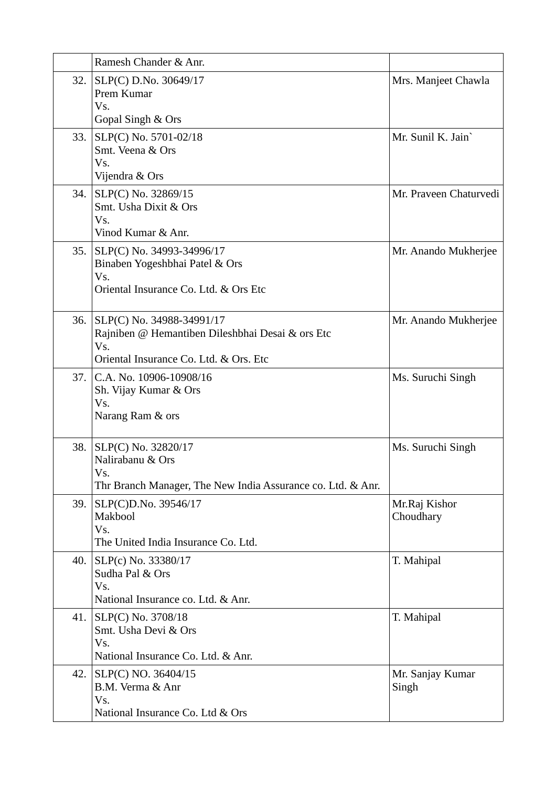|     | Ramesh Chander & Anr.                                                                                                          |                            |
|-----|--------------------------------------------------------------------------------------------------------------------------------|----------------------------|
| 32. | SLP(C) D.No. 30649/17<br>Prem Kumar<br>Vs.<br>Gopal Singh & Ors                                                                | Mrs. Manjeet Chawla        |
| 33. | SLP(C) No. 5701-02/18<br>Smt. Veena & Ors<br>Vs.<br>Vijendra & Ors                                                             | Mr. Sunil K. Jain          |
| 34. | SLP(C) No. 32869/15<br>Smt. Usha Dixit & Ors<br>Vs.<br>Vinod Kumar & Anr.                                                      | Mr. Praveen Chaturvedi     |
| 35. | SLP(C) No. 34993-34996/17<br>Binaben Yogeshbhai Patel & Ors<br>Vs.<br>Oriental Insurance Co. Ltd. & Ors Etc                    | Mr. Anando Mukherjee       |
| 36. | SLP(C) No. 34988-34991/17<br>Rajniben @ Hemantiben Dileshbhai Desai & ors Etc<br>Vs.<br>Oriental Insurance Co. Ltd. & Ors. Etc | Mr. Anando Mukherjee       |
|     | 37. C.A. No. 10906-10908/16<br>Sh. Vijay Kumar & Ors<br>Vs.<br>Narang Ram & ors                                                | Ms. Suruchi Singh          |
| 38. | SLP(C) No. 32820/17<br>Nalirabanu & Ors<br>Vs.<br>Thr Branch Manager, The New India Assurance co. Ltd. & Anr.                  | Ms. Suruchi Singh          |
| 39. | SLP(C)D.No. 39546/17<br>Makbool<br>Vs.<br>The United India Insurance Co. Ltd.                                                  | Mr.Raj Kishor<br>Choudhary |
| 40. | SLP(c) No. 33380/17<br>Sudha Pal & Ors<br>Vs.<br>National Insurance co. Ltd. & Anr.                                            | T. Mahipal                 |
| 41. | SLP(C) No. 3708/18<br>Smt. Usha Devi & Ors<br>Vs.<br>National Insurance Co. Ltd. & Anr.                                        | T. Mahipal                 |
| 42. | SLP(C) NO. 36404/15<br>B.M. Verma & Anr<br>Vs.<br>National Insurance Co. Ltd & Ors                                             | Mr. Sanjay Kumar<br>Singh  |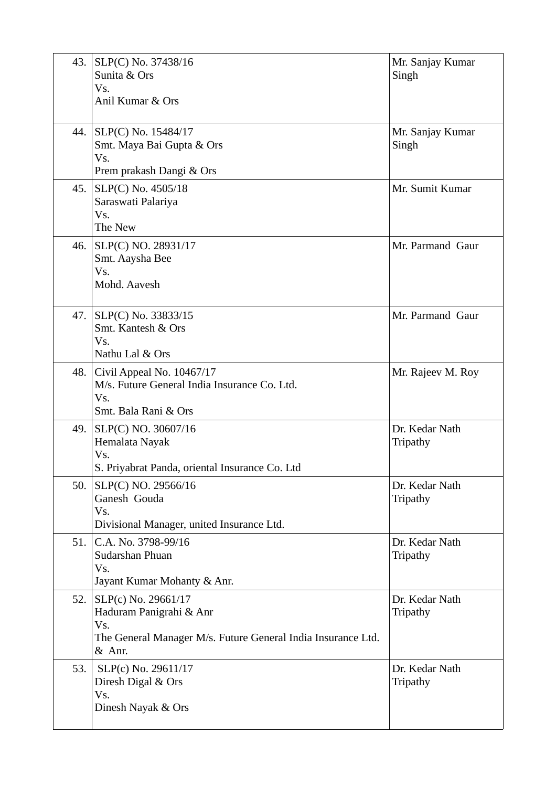| 43. | SLP(C) No. 37438/16<br>Sunita & Ors<br>Vs.<br>Anil Kumar & Ors                                                                      | Mr. Sanjay Kumar<br>Singh  |
|-----|-------------------------------------------------------------------------------------------------------------------------------------|----------------------------|
|     | 44. SLP(C) No. 15484/17<br>Smt. Maya Bai Gupta & Ors<br>Vs.<br>Prem prakash Dangi & Ors                                             | Mr. Sanjay Kumar<br>Singh  |
| 45. | SLP(C) No. 4505/18<br>Saraswati Palariya<br>Vs.<br>The New                                                                          | Mr. Sumit Kumar            |
| 46. | SLP(C) NO. 28931/17<br>Smt. Aaysha Bee<br>Vs.<br>Mohd. Aavesh                                                                       | Mr. Parmand Gaur           |
|     | 47. SLP(C) No. 33833/15<br>Smt. Kantesh & Ors<br>Vs.<br>Nathu Lal & Ors                                                             | Mr. Parmand Gaur           |
| 48. | Civil Appeal No. 10467/17<br>M/s. Future General India Insurance Co. Ltd.<br>Vs.<br>Smt. Bala Rani & Ors                            | Mr. Rajeev M. Roy          |
| 49. | SLP(C) NO. 30607/16<br>Hemalata Nayak<br>Vs.<br>S. Priyabrat Panda, oriental Insurance Co. Ltd                                      | Dr. Kedar Nath<br>Tripathy |
|     | 50. SLP(C) NO. 29566/16<br>Ganesh Gouda<br>Vs.<br>Divisional Manager, united Insurance Ltd.                                         | Dr. Kedar Nath<br>Tripathy |
|     | 51. C.A. No. 3798-99/16<br>Sudarshan Phuan<br>Vs.<br>Jayant Kumar Mohanty & Anr.                                                    | Dr. Kedar Nath<br>Tripathy |
|     | 52. SLP(c) No. 29661/17<br>Haduram Panigrahi & Anr<br>Vs.<br>The General Manager M/s. Future General India Insurance Ltd.<br>& Anr. | Dr. Kedar Nath<br>Tripathy |
| 53. | SLP(c) No. 29611/17<br>Diresh Digal & Ors<br>Vs.<br>Dinesh Nayak & Ors                                                              | Dr. Kedar Nath<br>Tripathy |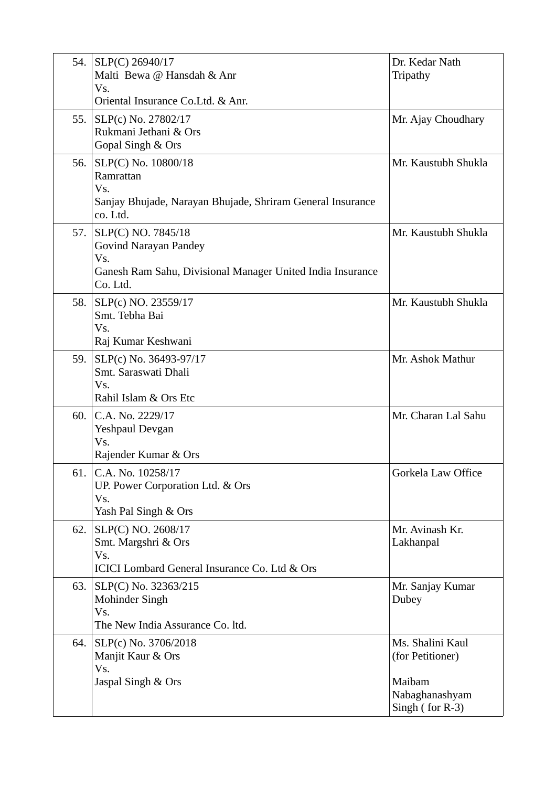| 54. | SLP(C) 26940/17<br>Malti Bewa @ Hansdah & Anr<br>Vs.<br>Oriental Insurance Co.Ltd. & Anr.                                           | Dr. Kedar Nath<br>Tripathy                                                          |
|-----|-------------------------------------------------------------------------------------------------------------------------------------|-------------------------------------------------------------------------------------|
| 55. | SLP(c) No. 27802/17<br>Rukmani Jethani & Ors<br>Gopal Singh & Ors                                                                   | Mr. Ajay Choudhary                                                                  |
| 56. | SLP(C) No. 10800/18<br>Ramrattan<br>Vs.<br>Sanjay Bhujade, Narayan Bhujade, Shriram General Insurance<br>co. Ltd.                   | Mr. Kaustubh Shukla                                                                 |
| 57. | SLP(C) NO. 7845/18<br><b>Govind Narayan Pandey</b><br>Vs.<br>Ganesh Ram Sahu, Divisional Manager United India Insurance<br>Co. Ltd. | Mr. Kaustubh Shukla                                                                 |
| 58. | SLP(c) NO. 23559/17<br>Smt. Tebha Bai<br>Vs.<br>Raj Kumar Keshwani                                                                  | Mr. Kaustubh Shukla                                                                 |
| 59. | SLP(c) No. 36493-97/17<br>Smt. Saraswati Dhali<br>Vs.<br>Rahil Islam & Ors Etc                                                      | Mr. Ashok Mathur                                                                    |
| 60. | C.A. No. 2229/17<br>Yeshpaul Devgan<br>Vs.<br>Rajender Kumar & Ors                                                                  | Mr. Charan Lal Sahu                                                                 |
| 61. | C.A. No. 10258/17<br>UP. Power Corporation Ltd. & Ors<br>Vs.<br>Yash Pal Singh & Ors                                                | Gorkela Law Office                                                                  |
| 62. | SLP(C) NO. 2608/17<br>Smt. Margshri & Ors<br>Vs.<br>ICICI Lombard General Insurance Co. Ltd & Ors                                   | Mr. Avinash Kr.<br>Lakhanpal                                                        |
| 63. | SLP(C) No. 32363/215<br>Mohinder Singh<br>Vs.<br>The New India Assurance Co. ltd.                                                   | Mr. Sanjay Kumar<br>Dubey                                                           |
| 64. | SLP(c) No. 3706/2018<br>Manjit Kaur & Ors<br>Vs.<br>Jaspal Singh & Ors                                                              | Ms. Shalini Kaul<br>(for Petitioner)<br>Maibam<br>Nabaghanashyam<br>Singh (for R-3) |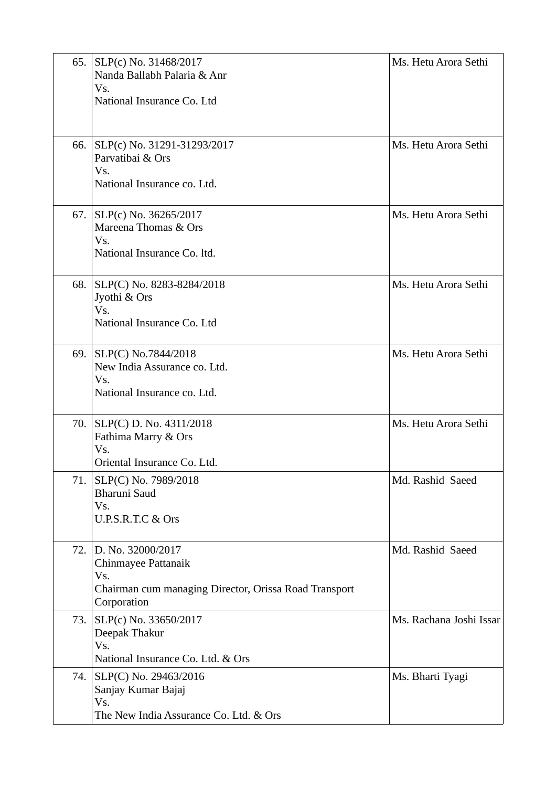| 65. | SLP(c) No. 31468/2017<br>Nanda Ballabh Palaria & Anr<br>Vs.<br>National Insurance Co. Ltd                               | Ms. Hetu Arora Sethi    |
|-----|-------------------------------------------------------------------------------------------------------------------------|-------------------------|
|     | 66. SLP(c) No. 31291-31293/2017<br>Parvatibai & Ors<br>Vs.<br>National Insurance co. Ltd.                               | Ms. Hetu Arora Sethi    |
|     | 67. SLP(c) No. 36265/2017<br>Mareena Thomas & Ors<br>Vs.<br>National Insurance Co. ltd.                                 | Ms. Hetu Arora Sethi    |
| 68. | SLP(C) No. 8283-8284/2018<br>Jyothi & Ors<br>Vs.<br>National Insurance Co. Ltd                                          | Ms. Hetu Arora Sethi    |
| 69. | SLP(C) No.7844/2018<br>New India Assurance co. Ltd.<br>Vs.<br>National Insurance co. Ltd.                               | Ms. Hetu Arora Sethi    |
|     | 70. SLP(C) D. No. 4311/2018<br>Fathima Marry & Ors<br>Vs.<br>Oriental Insurance Co. Ltd.                                | Ms. Hetu Arora Sethi    |
| 71. | SLP(C) No. 7989/2018<br>Bharuni Saud<br>Vs.<br>U.P.S.R.T.C & Ors                                                        | Md. Rashid Saeed        |
| 72. | D. No. 32000/2017<br>Chinmayee Pattanaik<br>Vs.<br>Chairman cum managing Director, Orissa Road Transport<br>Corporation | Md. Rashid Saeed        |
|     | 73. SLP(c) No. 33650/2017<br>Deepak Thakur<br>Vs.<br>National Insurance Co. Ltd. & Ors                                  | Ms. Rachana Joshi Issar |
|     | 74. SLP(C) No. 29463/2016<br>Sanjay Kumar Bajaj<br>Vs.<br>The New India Assurance Co. Ltd. & Ors                        | Ms. Bharti Tyagi        |